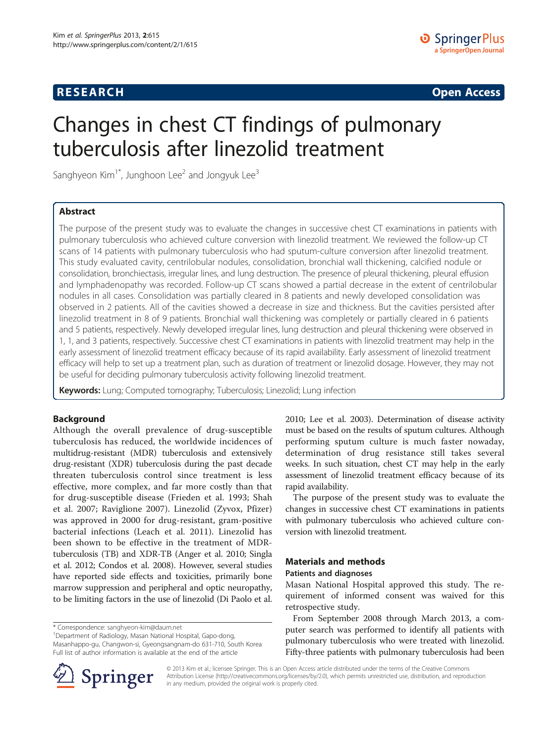## **RESEARCH RESEARCH** *CHECKER CHECKER CHECKER CHECKER CHECKER CHECKER CHECKER CHECKER CHECKER CHECKER CHECKER*

# Changes in chest CT findings of pulmonary tuberculosis after linezolid treatment

Sanghyeon  $Kim^{1*}$ , Junghoon Lee<sup>2</sup> and Jongyuk Lee<sup>3</sup>

## Abstract

The purpose of the present study was to evaluate the changes in successive chest CT examinations in patients with pulmonary tuberculosis who achieved culture conversion with linezolid treatment. We reviewed the follow-up CT scans of 14 patients with pulmonary tuberculosis who had sputum-culture conversion after linezolid treatment. This study evaluated cavity, centrilobular nodules, consolidation, bronchial wall thickening, calcified nodule or consolidation, bronchiectasis, irregular lines, and lung destruction. The presence of pleural thickening, pleural effusion and lymphadenopathy was recorded. Follow-up CT scans showed a partial decrease in the extent of centrilobular nodules in all cases. Consolidation was partially cleared in 8 patients and newly developed consolidation was observed in 2 patients. All of the cavities showed a decrease in size and thickness. But the cavities persisted after linezolid treatment in 8 of 9 patients. Bronchial wall thickening was completely or partially cleared in 6 patients and 5 patients, respectively. Newly developed irregular lines, lung destruction and pleural thickening were observed in 1, 1, and 3 patients, respectively. Successive chest CT examinations in patients with linezolid treatment may help in the early assessment of linezolid treatment efficacy because of its rapid availability. Early assessment of linezolid treatment efficacy will help to set up a treatment plan, such as duration of treatment or linezolid dosage. However, they may not be useful for deciding pulmonary tuberculosis activity following linezolid treatment.

Keywords: Lung; Computed tomography; Tuberculosis; Linezolid; Lung infection

## Background

Although the overall prevalence of drug-susceptible tuberculosis has reduced, the worldwide incidences of multidrug-resistant (MDR) tuberculosis and extensively drug-resistant (XDR) tuberculosis during the past decade threaten tuberculosis control since treatment is less effective, more complex, and far more costly than that for drug-susceptible disease (Frieden et al. [1993;](#page-4-0) Shah et al. [2007](#page-4-0); Raviglione [2007\)](#page-4-0). Linezolid (Zyvox, Pfizer) was approved in 2000 for drug-resistant, gram-positive bacterial infections (Leach et al. [2011\)](#page-4-0). Linezolid has been shown to be effective in the treatment of MDRtuberculosis (TB) and XDR-TB (Anger et al. [2010;](#page-4-0) Singla et al. [2012](#page-4-0); Condos et al. [2008](#page-4-0)). However, several studies have reported side effects and toxicities, primarily bone marrow suppression and peripheral and optic neuropathy, to be limiting factors in the use of linezolid (Di Paolo et al.

\* Correspondence: [sanghyeon-kim@daum.net](mailto:sanghyeon-kim@daum.net) <sup>1</sup>

<sup>1</sup>Department of Radiology, Masan National Hospital, Gapo-dong, Masanhappo-gu, Changwon-si, Gyeongsangnam-do 631-710, South Korea Full list of author information is available at the end of the article

[2010](#page-4-0); Lee et al. [2003](#page-4-0)). Determination of disease activity must be based on the results of sputum cultures. Although performing sputum culture is much faster nowaday, determination of drug resistance still takes several weeks. In such situation, chest CT may help in the early assessment of linezolid treatment efficacy because of its rapid availability.

The purpose of the present study was to evaluate the changes in successive chest CT examinations in patients with pulmonary tuberculosis who achieved culture conversion with linezolid treatment.

## Materials and methods Patients and diagnoses

Masan National Hospital approved this study. The requirement of informed consent was waived for this retrospective study.

From September 2008 through March 2013, a computer search was performed to identify all patients with pulmonary tuberculosis who were treated with linezolid. Fifty-three patients with pulmonary tuberculosis had been



© 2013 Kim et al.; licensee Springer. This is an Open Access article distributed under the terms of the Creative Commons Attribution License [\(http://creativecommons.org/licenses/by/2.0\)](http://creativecommons.org/licenses/by/2.0), which permits unrestricted use, distribution, and reproduction in any medium, provided the original work is properly cited.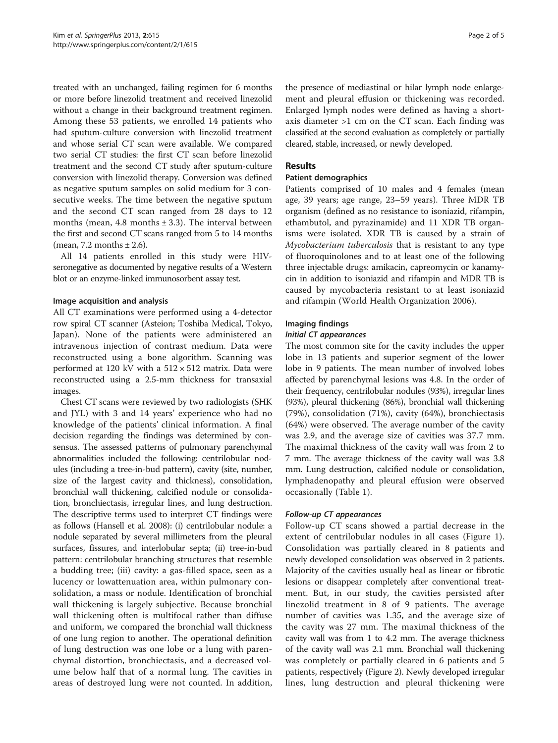treated with an unchanged, failing regimen for 6 months or more before linezolid treatment and received linezolid without a change in their background treatment regimen. Among these 53 patients, we enrolled 14 patients who had sputum-culture conversion with linezolid treatment and whose serial CT scan were available. We compared two serial CT studies: the first CT scan before linezolid treatment and the second CT study after sputum-culture conversion with linezolid therapy. Conversion was defined as negative sputum samples on solid medium for 3 consecutive weeks. The time between the negative sputum and the second CT scan ranged from 28 days to 12 months (mean, 4.8 months  $\pm$  3.3). The interval between the first and second CT scans ranged from 5 to 14 months (mean, 7.2 months  $\pm$  2.6).

All 14 patients enrolled in this study were HIVseronegative as documented by negative results of a Western blot or an enzyme-linked immunosorbent assay test.

## Image acquisition and analysis

All CT examinations were performed using a 4-detector row spiral CT scanner (Asteion; Toshiba Medical, Tokyo, Japan). None of the patients were administered an intravenous injection of contrast medium. Data were reconstructed using a bone algorithm. Scanning was performed at 120 kV with a  $512 \times 512$  matrix. Data were reconstructed using a 2.5-mm thickness for transaxial images.

Chest CT scans were reviewed by two radiologists (SHK and JYL) with 3 and 14 years' experience who had no knowledge of the patients' clinical information. A final decision regarding the findings was determined by consensus. The assessed patterns of pulmonary parenchymal abnormalities included the following: centrilobular nodules (including a tree-in-bud pattern), cavity (site, number, size of the largest cavity and thickness), consolidation, bronchial wall thickening, calcified nodule or consolidation, bronchiectasis, irregular lines, and lung destruction. The descriptive terms used to interpret CT findings were as follows (Hansell et al. [2008](#page-4-0)): (i) centrilobular nodule: a nodule separated by several millimeters from the pleural surfaces, fissures, and interlobular septa; (ii) tree-in-bud pattern: centrilobular branching structures that resemble a budding tree; (iii) cavity: a gas-filled space, seen as a lucency or lowattenuation area, within pulmonary consolidation, a mass or nodule. Identification of bronchial wall thickening is largely subjective. Because bronchial wall thickening often is multifocal rather than diffuse and uniform, we compared the bronchial wall thickness of one lung region to another. The operational definition of lung destruction was one lobe or a lung with parenchymal distortion, bronchiectasis, and a decreased volume below half that of a normal lung. The cavities in areas of destroyed lung were not counted. In addition,

the presence of mediastinal or hilar lymph node enlargement and pleural effusion or thickening was recorded. Enlarged lymph nodes were defined as having a shortaxis diameter >1 cm on the CT scan. Each finding was classified at the second evaluation as completely or partially cleared, stable, increased, or newly developed.

## **Results**

#### Patient demographics

Patients comprised of 10 males and 4 females (mean age, 39 years; age range, 23–59 years). Three MDR TB organism (defined as no resistance to isoniazid, rifampin, ethambutol, and pyrazinamide) and 11 XDR TB organisms were isolated. XDR TB is caused by a strain of Mycobacterium tuberculosis that is resistant to any type of fluoroquinolones and to at least one of the following three injectable drugs: amikacin, capreomycin or kanamycin in addition to isoniazid and rifampin and MDR TB is caused by mycobacteria resistant to at least isoniazid and rifampin (World Health Organization [2006](#page-4-0)).

#### Imaging findings

#### Initial CT appearances

The most common site for the cavity includes the upper lobe in 13 patients and superior segment of the lower lobe in 9 patients. The mean number of involved lobes affected by parenchymal lesions was 4.8. In the order of their frequency, centrilobular nodules (93%), irregular lines (93%), pleural thickening (86%), bronchial wall thickening (79%), consolidation (71%), cavity (64%), bronchiectasis (64%) were observed. The average number of the cavity was 2.9, and the average size of cavities was 37.7 mm. The maximal thickness of the cavity wall was from 2 to 7 mm. The average thickness of the cavity wall was 3.8 mm. Lung destruction, calcified nodule or consolidation, lymphadenopathy and pleural effusion were observed occasionally (Table [1\)](#page-2-0).

#### Follow-up CT appearances

Follow-up CT scans showed a partial decrease in the extent of centrilobular nodules in all cases (Figure [1](#page-2-0)). Consolidation was partially cleared in 8 patients and newly developed consolidation was observed in 2 patients. Majority of the cavities usually heal as linear or fibrotic lesions or disappear completely after conventional treatment. But, in our study, the cavities persisted after linezolid treatment in 8 of 9 patients. The average number of cavities was 1.35, and the average size of the cavity was 27 mm. The maximal thickness of the cavity wall was from 1 to 4.2 mm. The average thickness of the cavity wall was 2.1 mm. Bronchial wall thickening was completely or partially cleared in 6 patients and 5 patients, respectively (Figure [2\)](#page-3-0). Newly developed irregular lines, lung destruction and pleural thickening were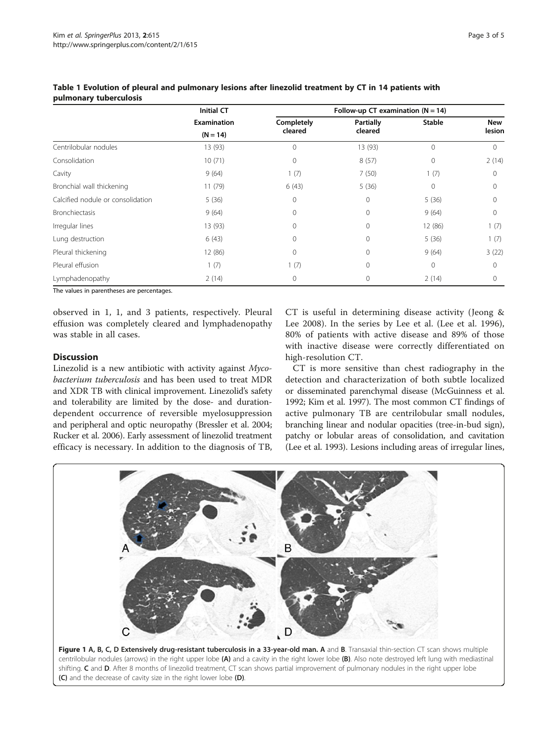|                                   | <b>Initial CT</b><br><b>Examination</b><br>$(N = 14)$ | Follow-up CT examination $(N = 14)$ |                      |               |               |
|-----------------------------------|-------------------------------------------------------|-------------------------------------|----------------------|---------------|---------------|
|                                   |                                                       | Completely<br>cleared               | Partially<br>cleared | <b>Stable</b> | New<br>lesion |
|                                   |                                                       |                                     |                      |               |               |
| Centrilobular nodules             | 13 (93)                                               | 0                                   | 13 (93)              | $\Omega$      | $\Omega$      |
| Consolidation                     | 10(71)                                                | 0                                   | 8(57)                | $\mathbf 0$   | 2(14)         |
| Cavity                            | 9(64)                                                 | 1(7)                                | 7(50)                | 1(7)          | $\Omega$      |
| Bronchial wall thickening         | 11(79)                                                | 6(43)                               | 5(36)                | $\bigcap$     |               |
| Calcified nodule or consolidation | 5(36)                                                 | 0                                   | 0                    | 5(36)         | 0             |
| <b>Bronchiectasis</b>             | 9(64)                                                 | $\Omega$                            | 0                    | 9(64)         | $\Omega$      |
| Irregular lines                   | 13 (93)                                               | 0                                   | 0                    | 12 (86)       | 1(7)          |
| Lung destruction                  | 6(43)                                                 |                                     | 0                    | 5(36)         | 1(7)          |
| Pleural thickening                | 12 (86)                                               | $\Omega$                            | 0                    | 9(64)         | 3(22)         |
| Pleural effusion                  | 1(7)                                                  | 1(7)                                | 0                    | $\Omega$      | $\Omega$      |
| Lymphadenopathy                   | 2(14)                                                 | 0                                   | 0                    | 2(14)         | 0             |

<span id="page-2-0"></span>Table 1 Evolution of pleural and pulmonary lesions after linezolid treatment by CT in 14 patients with pulmonary tuberculosis

The values in parentheses are percentages.

observed in 1, 1, and 3 patients, respectively. Pleural effusion was completely cleared and lymphadenopathy was stable in all cases.

## **Discussion**

Linezolid is a new antibiotic with activity against Mycobacterium tuberculosis and has been used to treat MDR and XDR TB with clinical improvement. Linezolid's safety and tolerability are limited by the dose- and durationdependent occurrence of reversible myelosuppression and peripheral and optic neuropathy (Bressler et al. [2004](#page-4-0); Rucker et al. [2006\)](#page-4-0). Early assessment of linezolid treatment efficacy is necessary. In addition to the diagnosis of TB,

CT is useful in determining disease activity (Jeong & Lee [2008](#page-4-0)). In the series by Lee et al. (Lee et al. [1996](#page-4-0)), 80% of patients with active disease and 89% of those with inactive disease were correctly differentiated on high-resolution CT.

CT is more sensitive than chest radiography in the detection and characterization of both subtle localized or disseminated parenchymal disease (McGuinness et al. [1992](#page-4-0); Kim et al. [1997](#page-4-0)). The most common CT findings of active pulmonary TB are centrilobular small nodules, branching linear and nodular opacities (tree-in-bud sign), patchy or lobular areas of consolidation, and cavitation (Lee et al. [1993](#page-4-0)). Lesions including areas of irregular lines,



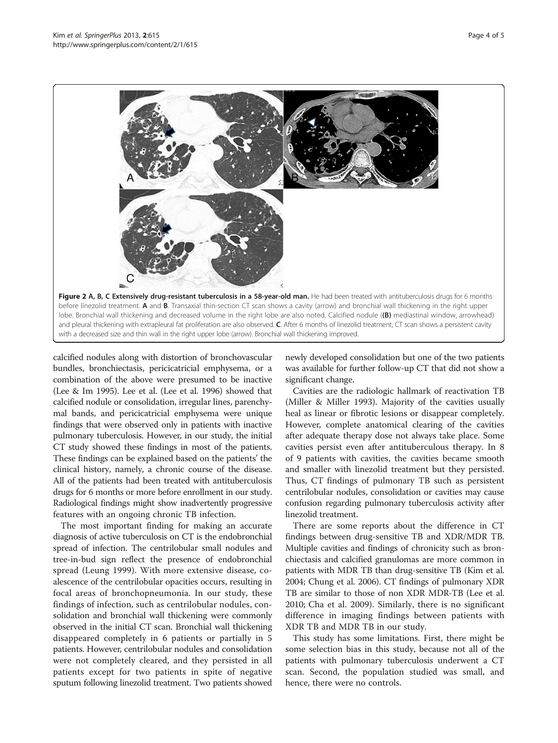<span id="page-3-0"></span>

calcified nodules along with distortion of bronchovascular bundles, bronchiectasis, pericicatricial emphysema, or a combination of the above were presumed to be inactive (Lee & Im [1995](#page-4-0)). Lee et al. (Lee et al. [1996\)](#page-4-0) showed that calcified nodule or consolidation, irregular lines, parenchymal bands, and pericicatricial emphysema were unique findings that were observed only in patients with inactive pulmonary tuberculosis. However, in our study, the initial CT study showed these findings in most of the patients. These findings can be explained based on the patients' the clinical history, namely, a chronic course of the disease. All of the patients had been treated with antituberculosis drugs for 6 months or more before enrollment in our study. Radiological findings might show inadvertently progressive features with an ongoing chronic TB infection.

The most important finding for making an accurate diagnosis of active tuberculosis on CT is the endobronchial spread of infection. The centrilobular small nodules and tree-in-bud sign reflect the presence of endobronchial spread (Leung [1999](#page-4-0)). With more extensive disease, coalescence of the centrilobular opacities occurs, resulting in focal areas of bronchopneumonia. In our study, these findings of infection, such as centrilobular nodules, consolidation and bronchial wall thickening were commonly observed in the initial CT scan. Bronchial wall thickening disappeared completely in 6 patients or partially in 5 patients. However, centrilobular nodules and consolidation were not completely cleared, and they persisted in all patients except for two patients in spite of negative sputum following linezolid treatment. Two patients showed newly developed consolidation but one of the two patients was available for further follow-up CT that did not show a significant change.

Cavities are the radiologic hallmark of reactivation TB (Miller & Miller [1993\)](#page-4-0). Majority of the cavities usually heal as linear or fibrotic lesions or disappear completely. However, complete anatomical clearing of the cavities after adequate therapy dose not always take place. Some cavities persist even after antituberculous therapy. In 8 of 9 patients with cavities, the cavities became smooth and smaller with linezolid treatment but they persisted. Thus, CT findings of pulmonary TB such as persistent centrilobular nodules, consolidation or cavities may cause confusion regarding pulmonary tuberculosis activity after linezolid treatment.

There are some reports about the difference in CT findings between drug-sensitive TB and XDR/MDR TB. Multiple cavities and findings of chronicity such as bronchiectasis and calcified granulomas are more common in patients with MDR TB than drug-sensitive TB (Kim et al. [2004](#page-4-0); Chung et al. [2006\)](#page-4-0). CT findings of pulmonary XDR TB are similar to those of non XDR MDR-TB (Lee et al. [2010](#page-4-0); Cha et al. [2009](#page-4-0)). Similarly, there is no significant difference in imaging findings between patients with XDR TB and MDR TB in our study.

This study has some limitations. First, there might be some selection bias in this study, because not all of the patients with pulmonary tuberculosis underwent a CT scan. Second, the population studied was small, and hence, there were no controls.